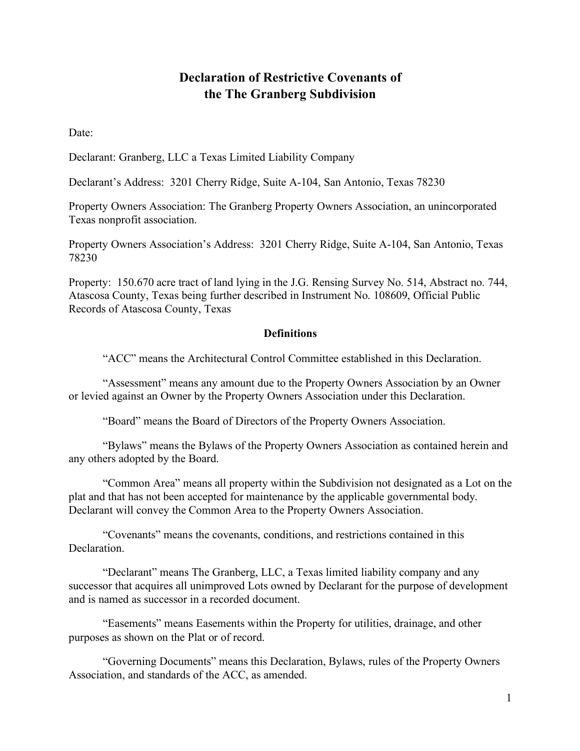# **Declaration of Restrictive Covenants of the The Granberg Subdivision**

Date:

Declarant: Granberg, LLC a Texas Limited Liability Company

Declarant's Address: 3201 Cherry Ridge, Suite A-104, San Antonio, Texas 78230

Property Owners Association: The Granberg Property Owners Association, an unincorporated Texas nonprofit association.

Property Owners Association's Address: 3201 Cherry Ridge, Suite A-104, San Antonio, Texas 78230

Property: 150.670 acre tract of land lying in the J.G. Rensing Survey No. 514, Abstract no. 744, Atascosa County, Texas being further described in Instrument No. 108609, Official Public Records of Atascosa County, Texas

#### **Definitions**

"ACC" means the Architectural Control Committee established in this Declaration.

"Assessment" means any amount due to the Property Owners Association by an Owner or levied against an Owner by the Property Owners Association under this Declaration.

"Board" means the Board of Directors of the Property Owners Association.

"Bylaws" means the Bylaws of the Property Owners Association as contained herein and any others adopted by the Board.

"Common Area" means all property within the Subdivision not designated as a Lot on the plat and that has not been accepted for maintenance by the applicable governmental body. Declarant will convey the Common Area to the Property Owners Association.

"Covenants" means the covenants, conditions, and restrictions contained in this Declaration.

"Declarant" means The Granberg, LLC, a Texas limited liability company and any successor that acquires all unimproved Lots owned by Declarant for the purpose of development and is named as successor in a recorded document.

"Easements" means Easements within the Property for utilities, drainage, and other purposes as shown on the Plat or of record.

"Governing Documents" means this Declaration, Bylaws, rules of the Property Owners Association, and standards of the ACC, as amended.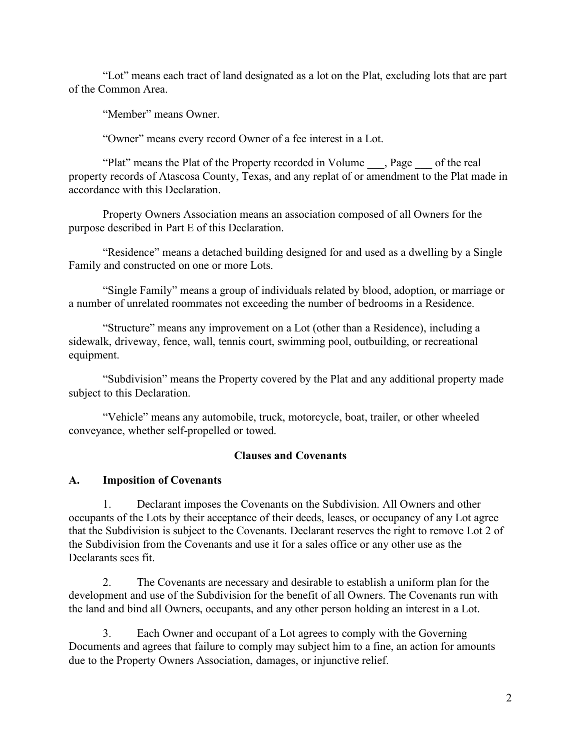"Lot" means each tract of land designated as a lot on the Plat, excluding lots that are part of the Common Area.

"Member" means Owner.

"Owner" means every record Owner of a fee interest in a Lot.

"Plat" means the Plat of the Property recorded in Volume \_\_\_, Page \_\_\_ of the real property records of Atascosa County, Texas, and any replat of or amendment to the Plat made in accordance with this Declaration.

Property Owners Association means an association composed of all Owners for the purpose described in Part E of this Declaration.

"Residence" means a detached building designed for and used as a dwelling by a Single Family and constructed on one or more Lots.

"Single Family" means a group of individuals related by blood, adoption, or marriage or a number of unrelated roommates not exceeding the number of bedrooms in a Residence.

"Structure" means any improvement on a Lot (other than a Residence), including a sidewalk, driveway, fence, wall, tennis court, swimming pool, outbuilding, or recreational equipment.

"Subdivision" means the Property covered by the Plat and any additional property made subject to this Declaration.

"Vehicle" means any automobile, truck, motorcycle, boat, trailer, or other wheeled conveyance, whether self-propelled or towed.

# **Clauses and Covenants**

#### **A. Imposition of Covenants**

1. Declarant imposes the Covenants on the Subdivision. All Owners and other occupants of the Lots by their acceptance of their deeds, leases, or occupancy of any Lot agree that the Subdivision is subject to the Covenants. Declarant reserves the right to remove Lot 2 of the Subdivision from the Covenants and use it for a sales office or any other use as the Declarants sees fit.

2. The Covenants are necessary and desirable to establish a uniform plan for the development and use of the Subdivision for the benefit of all Owners. The Covenants run with the land and bind all Owners, occupants, and any other person holding an interest in a Lot.

3. Each Owner and occupant of a Lot agrees to comply with the Governing Documents and agrees that failure to comply may subject him to a fine, an action for amounts due to the Property Owners Association, damages, or injunctive relief.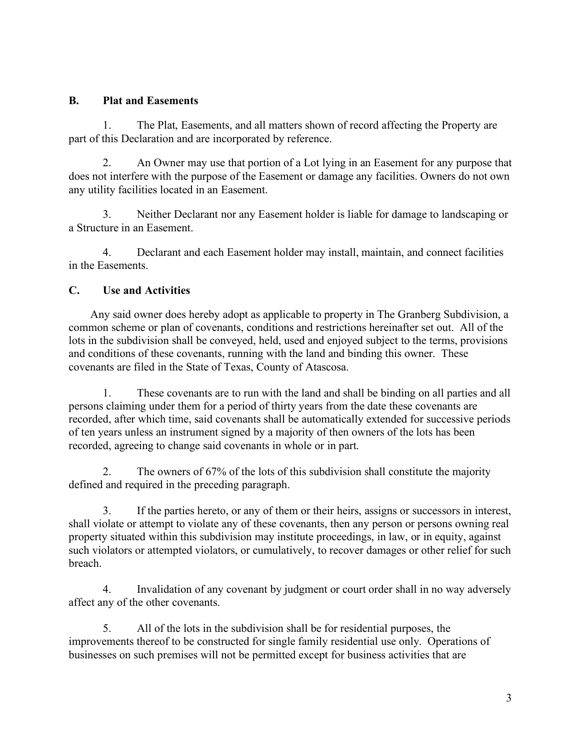#### **B. Plat and Easements**

1. The Plat, Easements, and all matters shown of record affecting the Property are part of this Declaration and are incorporated by reference.

2. An Owner may use that portion of a Lot lying in an Easement for any purpose that does not interfere with the purpose of the Easement or damage any facilities. Owners do not own any utility facilities located in an Easement.

3. Neither Declarant nor any Easement holder is liable for damage to landscaping or a Structure in an Easement.

4. Declarant and each Easement holder may install, maintain, and connect facilities in the Easements.

### **C. Use and Activities**

Any said owner does hereby adopt as applicable to property in The Granberg Subdivision, a common scheme or plan of covenants, conditions and restrictions hereinafter set out. All of the lots in the subdivision shall be conveyed, held, used and enjoyed subject to the terms, provisions and conditions of these covenants, running with the land and binding this owner. These covenants are filed in the State of Texas, County of Atascosa.

1. These covenants are to run with the land and shall be binding on all parties and all persons claiming under them for a period of thirty years from the date these covenants are recorded, after which time, said covenants shall be automatically extended for successive periods of ten years unless an instrument signed by a majority of then owners of the lots has been recorded, agreeing to change said covenants in whole or in part.

2. The owners of 67% of the lots of this subdivision shall constitute the majority defined and required in the preceding paragraph.

3. If the parties hereto, or any of them or their heirs, assigns or successors in interest, shall violate or attempt to violate any of these covenants, then any person or persons owning real property situated within this subdivision may institute proceedings, in law, or in equity, against such violators or attempted violators, or cumulatively, to recover damages or other relief for such breach.

4. Invalidation of any covenant by judgment or court order shall in no way adversely affect any of the other covenants.

5. All of the lots in the subdivision shall be for residential purposes, the improvements thereof to be constructed for single family residential use only. Operations of businesses on such premises will not be permitted except for business activities that are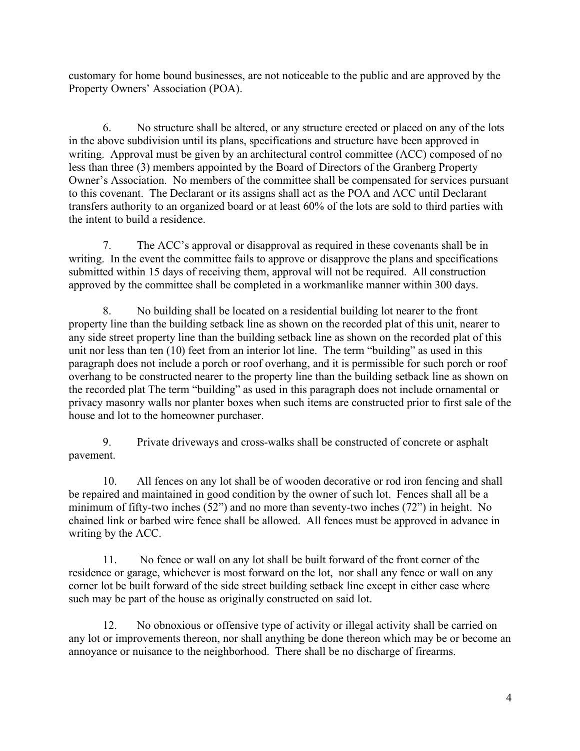customary for home bound businesses, are not noticeable to the public and are approved by the Property Owners' Association (POA).

6. No structure shall be altered, or any structure erected or placed on any of the lots in the above subdivision until its plans, specifications and structure have been approved in writing. Approval must be given by an architectural control committee (ACC) composed of no less than three (3) members appointed by the Board of Directors of the Granberg Property Owner's Association. No members of the committee shall be compensated for services pursuant to this covenant. The Declarant or its assigns shall act as the POA and ACC until Declarant transfers authority to an organized board or at least 60% of the lots are sold to third parties with the intent to build a residence.

7. The ACC's approval or disapproval as required in these covenants shall be in writing. In the event the committee fails to approve or disapprove the plans and specifications submitted within 15 days of receiving them, approval will not be required. All construction approved by the committee shall be completed in a workmanlike manner within 300 days.

8. No building shall be located on a residential building lot nearer to the front property line than the building setback line as shown on the recorded plat of this unit, nearer to any side street property line than the building setback line as shown on the recorded plat of this unit nor less than ten (10) feet from an interior lot line. The term "building" as used in this paragraph does not include a porch or roof overhang, and it is permissible for such porch or roof overhang to be constructed nearer to the property line than the building setback line as shown on the recorded plat The term "building" as used in this paragraph does not include ornamental or privacy masonry walls nor planter boxes when such items are constructed prior to first sale of the house and lot to the homeowner purchaser.

9. Private driveways and cross-walks shall be constructed of concrete or asphalt pavement.

10. All fences on any lot shall be of wooden decorative or rod iron fencing and shall be repaired and maintained in good condition by the owner of such lot. Fences shall all be a minimum of fifty-two inches (52") and no more than seventy-two inches (72") in height. No chained link or barbed wire fence shall be allowed. All fences must be approved in advance in writing by the ACC.

11. No fence or wall on any lot shall be built forward of the front corner of the residence or garage, whichever is most forward on the lot, nor shall any fence or wall on any corner lot be built forward of the side street building setback line except in either case where such may be part of the house as originally constructed on said lot.

12. No obnoxious or offensive type of activity or illegal activity shall be carried on any lot or improvements thereon, nor shall anything be done thereon which may be or become an annoyance or nuisance to the neighborhood. There shall be no discharge of firearms.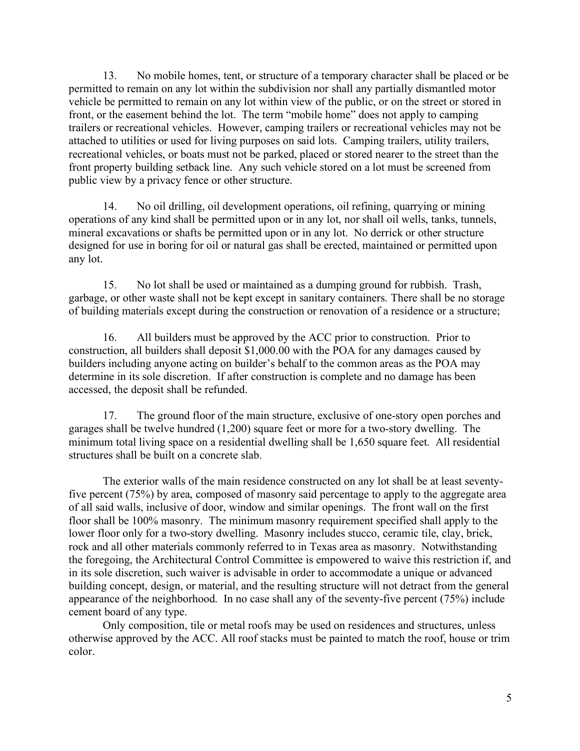13. No mobile homes, tent, or structure of a temporary character shall be placed or be permitted to remain on any lot within the subdivision nor shall any partially dismantled motor vehicle be permitted to remain on any lot within view of the public, or on the street or stored in front, or the easement behind the lot. The term "mobile home" does not apply to camping trailers or recreational vehicles. However, camping trailers or recreational vehicles may not be attached to utilities or used for living purposes on said lots. Camping trailers, utility trailers, recreational vehicles, or boats must not be parked, placed or stored nearer to the street than the front property building setback line. Any such vehicle stored on a lot must be screened from public view by a privacy fence or other structure.

14. No oil drilling, oil development operations, oil refining, quarrying or mining operations of any kind shall be permitted upon or in any lot, nor shall oil wells, tanks, tunnels, mineral excavations or shafts be permitted upon or in any lot. No derrick or other structure designed for use in boring for oil or natural gas shall be erected, maintained or permitted upon any lot.

15. No lot shall be used or maintained as a dumping ground for rubbish. Trash, garbage, or other waste shall not be kept except in sanitary containers. There shall be no storage of building materials except during the construction or renovation of a residence or a structure;

16. All builders must be approved by the ACC prior to construction. Prior to construction, all builders shall deposit \$1,000.00 with the POA for any damages caused by builders including anyone acting on builder's behalf to the common areas as the POA may determine in its sole discretion. If after construction is complete and no damage has been accessed, the deposit shall be refunded.

17. The ground floor of the main structure, exclusive of one-story open porches and garages shall be twelve hundred (1,200) square feet or more for a two-story dwelling. The minimum total living space on a residential dwelling shall be 1,650 square feet. All residential structures shall be built on a concrete slab.

The exterior walls of the main residence constructed on any lot shall be at least seventyfive percent (75%) by area, composed of masonry said percentage to apply to the aggregate area of all said walls, inclusive of door, window and similar openings. The front wall on the first floor shall be 100% masonry. The minimum masonry requirement specified shall apply to the lower floor only for a two-story dwelling. Masonry includes stucco, ceramic tile, clay, brick, rock and all other materials commonly referred to in Texas area as masonry. Notwithstanding the foregoing, the Architectural Control Committee is empowered to waive this restriction if, and in its sole discretion, such waiver is advisable in order to accommodate a unique or advanced building concept, design, or material, and the resulting structure will not detract from the general appearance of the neighborhood. In no case shall any of the seventy-five percent (75%) include cement board of any type.

Only composition, tile or metal roofs may be used on residences and structures, unless otherwise approved by the ACC. All roof stacks must be painted to match the roof, house or trim color.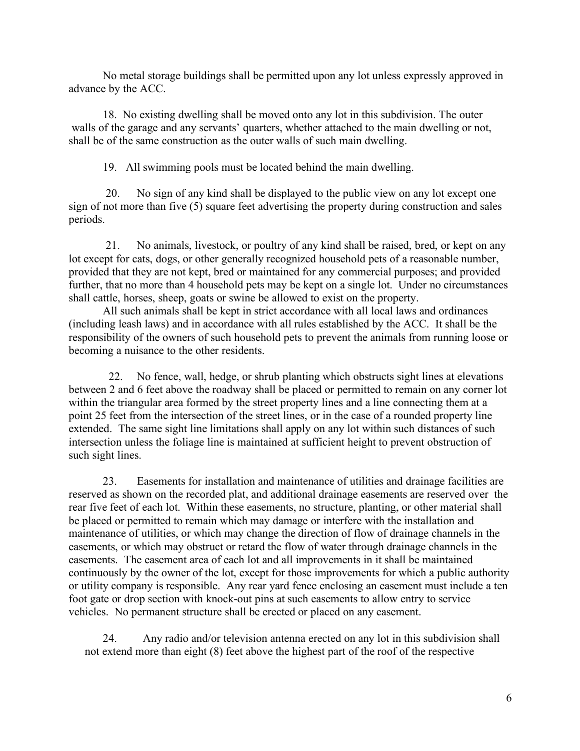No metal storage buildings shall be permitted upon any lot unless expressly approved in advance by the ACC.

18. No existing dwelling shall be moved onto any lot in this subdivision. The outer walls of the garage and any servants' quarters, whether attached to the main dwelling or not, shall be of the same construction as the outer walls of such main dwelling.

19. All swimming pools must be located behind the main dwelling.

20. No sign of any kind shall be displayed to the public view on any lot except one sign of not more than five (5) square feet advertising the property during construction and sales periods.

21. No animals, livestock, or poultry of any kind shall be raised, bred, or kept on any lot except for cats, dogs, or other generally recognized household pets of a reasonable number, provided that they are not kept, bred or maintained for any commercial purposes; and provided further, that no more than 4 household pets may be kept on a single lot. Under no circumstances shall cattle, horses, sheep, goats or swine be allowed to exist on the property.

All such animals shall be kept in strict accordance with all local laws and ordinances (including leash laws) and in accordance with all rules established by the ACC. It shall be the responsibility of the owners of such household pets to prevent the animals from running loose or becoming a nuisance to the other residents.

 22. No fence, wall, hedge, or shrub planting which obstructs sight lines at elevations between 2 and 6 feet above the roadway shall be placed or permitted to remain on any corner lot within the triangular area formed by the street property lines and a line connecting them at a point 25 feet from the intersection of the street lines, or in the case of a rounded property line extended. The same sight line limitations shall apply on any lot within such distances of such intersection unless the foliage line is maintained at sufficient height to prevent obstruction of such sight lines.

23. Easements for installation and maintenance of utilities and drainage facilities are reserved as shown on the recorded plat, and additional drainage easements are reserved over the rear five feet of each lot. Within these easements, no structure, planting, or other material shall be placed or permitted to remain which may damage or interfere with the installation and maintenance of utilities, or which may change the direction of flow of drainage channels in the easements, or which may obstruct or retard the flow of water through drainage channels in the easements. The easement area of each lot and all improvements in it shall be maintained continuously by the owner of the lot, except for those improvements for which a public authority or utility company is responsible. Any rear yard fence enclosing an easement must include a ten foot gate or drop section with knock-out pins at such easements to allow entry to service vehicles. No permanent structure shall be erected or placed on any easement.

24. Any radio and/or television antenna erected on any lot in this subdivision shall not extend more than eight (8) feet above the highest part of the roof of the respective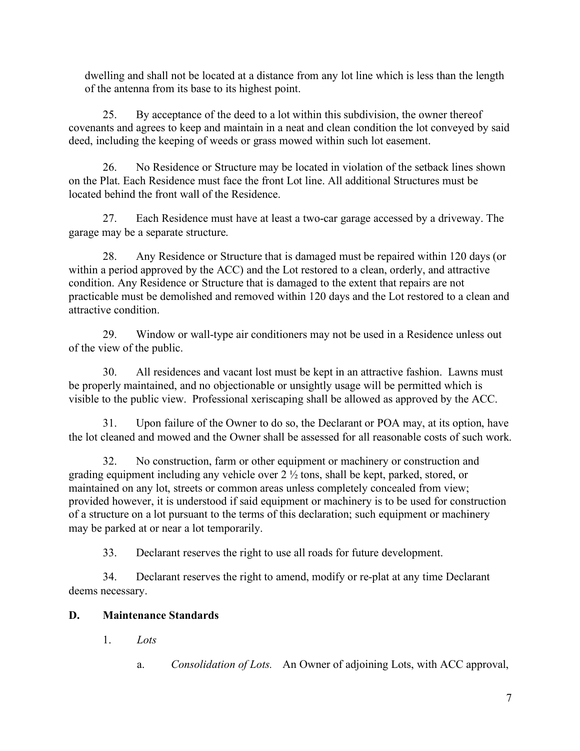dwelling and shall not be located at a distance from any lot line which is less than the length of the antenna from its base to its highest point.

25. By acceptance of the deed to a lot within this subdivision, the owner thereof covenants and agrees to keep and maintain in a neat and clean condition the lot conveyed by said deed, including the keeping of weeds or grass mowed within such lot easement.

26. No Residence or Structure may be located in violation of the setback lines shown on the Plat. Each Residence must face the front Lot line. All additional Structures must be located behind the front wall of the Residence.

27. Each Residence must have at least a two-car garage accessed by a driveway. The garage may be a separate structure.

28. Any Residence or Structure that is damaged must be repaired within 120 days (or within a period approved by the ACC) and the Lot restored to a clean, orderly, and attractive condition. Any Residence or Structure that is damaged to the extent that repairs are not practicable must be demolished and removed within 120 days and the Lot restored to a clean and attractive condition.

29. Window or wall-type air conditioners may not be used in a Residence unless out of the view of the public.

30. All residences and vacant lost must be kept in an attractive fashion. Lawns must be properly maintained, and no objectionable or unsightly usage will be permitted which is visible to the public view. Professional xeriscaping shall be allowed as approved by the ACC.

31. Upon failure of the Owner to do so, the Declarant or POA may, at its option, have the lot cleaned and mowed and the Owner shall be assessed for all reasonable costs of such work.

32. No construction, farm or other equipment or machinery or construction and grading equipment including any vehicle over 2 ½ tons, shall be kept, parked, stored, or maintained on any lot, streets or common areas unless completely concealed from view; provided however, it is understood if said equipment or machinery is to be used for construction of a structure on a lot pursuant to the terms of this declaration; such equipment or machinery may be parked at or near a lot temporarily.

33. Declarant reserves the right to use all roads for future development.

34. Declarant reserves the right to amend, modify or re-plat at any time Declarant deems necessary.

# **D. Maintenance Standards**

1. *Lots*

a. *Consolidation of Lots.* An Owner of adjoining Lots, with ACC approval,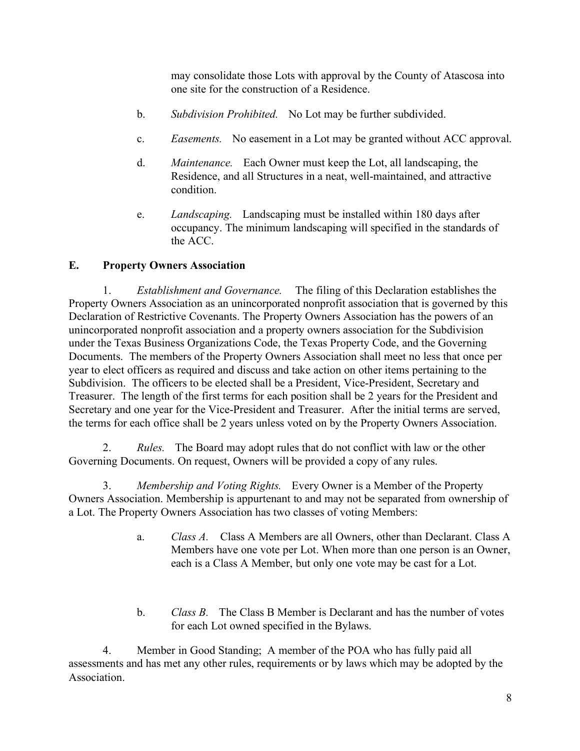may consolidate those Lots with approval by the County of Atascosa into one site for the construction of a Residence.

- b. *Subdivision Prohibited.* No Lot may be further subdivided.
- c. *Easements.* No easement in a Lot may be granted without ACC approval.
- d. *Maintenance.* Each Owner must keep the Lot, all landscaping, the Residence, and all Structures in a neat, well-maintained, and attractive condition.
- e. *Landscaping.* Landscaping must be installed within 180 days after occupancy. The minimum landscaping will specified in the standards of the ACC.

### **E. Property Owners Association**

1. *Establishment and Governance.* The filing of this Declaration establishes the Property Owners Association as an unincorporated nonprofit association that is governed by this Declaration of Restrictive Covenants. The Property Owners Association has the powers of an unincorporated nonprofit association and a property owners association for the Subdivision under the Texas Business Organizations Code, the Texas Property Code, and the Governing Documents. The members of the Property Owners Association shall meet no less that once per year to elect officers as required and discuss and take action on other items pertaining to the Subdivision. The officers to be elected shall be a President, Vice-President, Secretary and Treasurer. The length of the first terms for each position shall be 2 years for the President and Secretary and one year for the Vice-President and Treasurer. After the initial terms are served, the terms for each office shall be 2 years unless voted on by the Property Owners Association.

2. *Rules.* The Board may adopt rules that do not conflict with law or the other Governing Documents. On request, Owners will be provided a copy of any rules.

3. *Membership and Voting Rights.* Every Owner is a Member of the Property Owners Association. Membership is appurtenant to and may not be separated from ownership of a Lot. The Property Owners Association has two classes of voting Members:

- a. *Class A.* Class A Members are all Owners, other than Declarant. Class A Members have one vote per Lot. When more than one person is an Owner, each is a Class A Member, but only one vote may be cast for a Lot.
- b. *Class B.* The Class B Member is Declarant and has the number of votes for each Lot owned specified in the Bylaws.

 4. Member in Good Standing; A member of the POA who has fully paid all assessments and has met any other rules, requirements or by laws which may be adopted by the Association.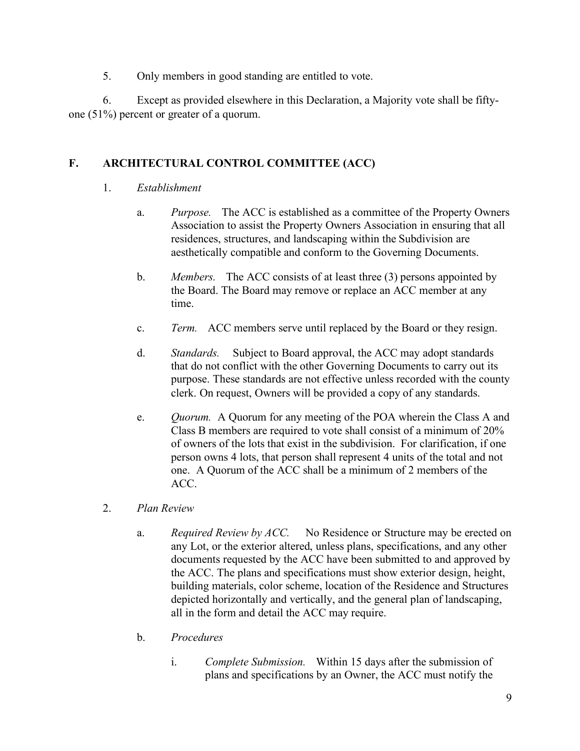5. Only members in good standing are entitled to vote.

6. Except as provided elsewhere in this Declaration, a Majority vote shall be fiftyone (51%) percent or greater of a quorum.

### **F. ARCHITECTURAL CONTROL COMMITTEE (ACC)**

- 1. *Establishment*
	- a. *Purpose.* The ACC is established as a committee of the Property Owners Association to assist the Property Owners Association in ensuring that all residences, structures, and landscaping within the Subdivision are aesthetically compatible and conform to the Governing Documents.
	- b. *Members.* The ACC consists of at least three (3) persons appointed by the Board. The Board may remove or replace an ACC member at any time.
	- c. *Term.* ACC members serve until replaced by the Board or they resign.
	- d. *Standards.* Subject to Board approval, the ACC may adopt standards that do not conflict with the other Governing Documents to carry out its purpose. These standards are not effective unless recorded with the county clerk. On request, Owners will be provided a copy of any standards.
	- e. *Quorum.* A Quorum for any meeting of the POA wherein the Class A and Class B members are required to vote shall consist of a minimum of 20% of owners of the lots that exist in the subdivision. For clarification, if one person owns 4 lots, that person shall represent 4 units of the total and not one. A Quorum of the ACC shall be a minimum of 2 members of the ACC.
- 2. *Plan Review*
	- a. *Required Review by ACC.* No Residence or Structure may be erected on any Lot, or the exterior altered, unless plans, specifications, and any other documents requested by the ACC have been submitted to and approved by the ACC. The plans and specifications must show exterior design, height, building materials, color scheme, location of the Residence and Structures depicted horizontally and vertically, and the general plan of landscaping, all in the form and detail the ACC may require.
	- b. *Procedures*
		- i. *Complete Submission.* Within 15 days after the submission of plans and specifications by an Owner, the ACC must notify the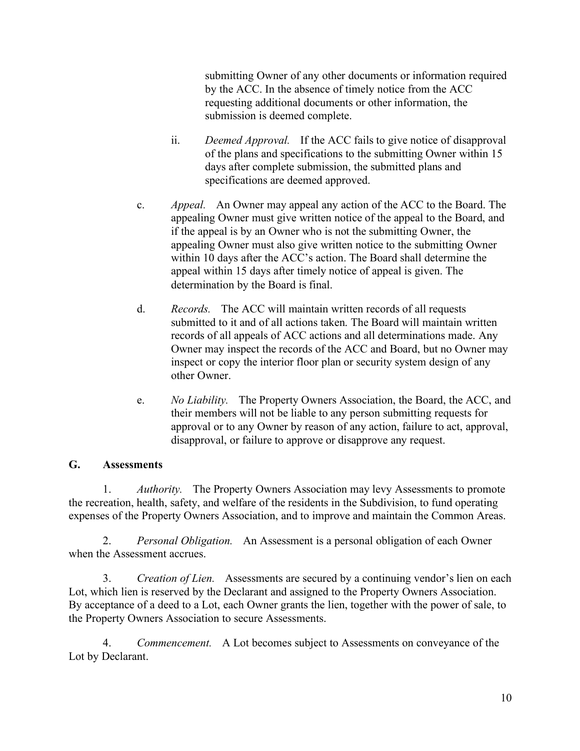submitting Owner of any other documents or information required by the ACC. In the absence of timely notice from the ACC requesting additional documents or other information, the submission is deemed complete.

- ii. *Deemed Approval.* If the ACC fails to give notice of disapproval of the plans and specifications to the submitting Owner within 15 days after complete submission, the submitted plans and specifications are deemed approved.
- c. *Appeal.* An Owner may appeal any action of the ACC to the Board. The appealing Owner must give written notice of the appeal to the Board, and if the appeal is by an Owner who is not the submitting Owner, the appealing Owner must also give written notice to the submitting Owner within 10 days after the ACC's action. The Board shall determine the appeal within 15 days after timely notice of appeal is given. The determination by the Board is final.
- d. *Records.* The ACC will maintain written records of all requests submitted to it and of all actions taken. The Board will maintain written records of all appeals of ACC actions and all determinations made. Any Owner may inspect the records of the ACC and Board, but no Owner may inspect or copy the interior floor plan or security system design of any other Owner.
- e. *No Liability.* The Property Owners Association, the Board, the ACC, and their members will not be liable to any person submitting requests for approval or to any Owner by reason of any action, failure to act, approval, disapproval, or failure to approve or disapprove any request.

# **G. Assessments**

1. *Authority.* The Property Owners Association may levy Assessments to promote the recreation, health, safety, and welfare of the residents in the Subdivision, to fund operating expenses of the Property Owners Association, and to improve and maintain the Common Areas.

2. *Personal Obligation.* An Assessment is a personal obligation of each Owner when the Assessment accrues.

3. *Creation of Lien.* Assessments are secured by a continuing vendor's lien on each Lot, which lien is reserved by the Declarant and assigned to the Property Owners Association. By acceptance of a deed to a Lot, each Owner grants the lien, together with the power of sale, to the Property Owners Association to secure Assessments.

4. *Commencement.* A Lot becomes subject to Assessments on conveyance of the Lot by Declarant.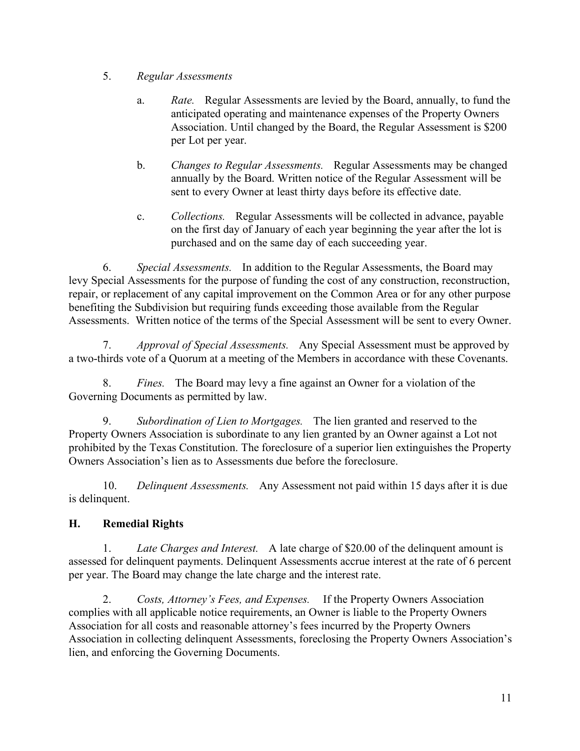### 5. *Regular Assessments*

- a. *Rate.* Regular Assessments are levied by the Board, annually, to fund the anticipated operating and maintenance expenses of the Property Owners Association. Until changed by the Board, the Regular Assessment is \$200 per Lot per year.
- b. *Changes to Regular Assessments.* Regular Assessments may be changed annually by the Board. Written notice of the Regular Assessment will be sent to every Owner at least thirty days before its effective date.
- c. *Collections.* Regular Assessments will be collected in advance, payable on the first day of January of each year beginning the year after the lot is purchased and on the same day of each succeeding year.

6. *Special Assessments.* In addition to the Regular Assessments, the Board may levy Special Assessments for the purpose of funding the cost of any construction, reconstruction, repair, or replacement of any capital improvement on the Common Area or for any other purpose benefiting the Subdivision but requiring funds exceeding those available from the Regular Assessments. Written notice of the terms of the Special Assessment will be sent to every Owner.

7. *Approval of Special Assessments.* Any Special Assessment must be approved by a two-thirds vote of a Quorum at a meeting of the Members in accordance with these Covenants.

8. *Fines.* The Board may levy a fine against an Owner for a violation of the Governing Documents as permitted by law.

9. *Subordination of Lien to Mortgages.* The lien granted and reserved to the Property Owners Association is subordinate to any lien granted by an Owner against a Lot not prohibited by the Texas Constitution. The foreclosure of a superior lien extinguishes the Property Owners Association's lien as to Assessments due before the foreclosure.

10. *Delinquent Assessments.* Any Assessment not paid within 15 days after it is due is delinquent.

# **H. Remedial Rights**

1. *Late Charges and Interest.* A late charge of \$20.00 of the delinquent amount is assessed for delinquent payments. Delinquent Assessments accrue interest at the rate of 6 percent per year. The Board may change the late charge and the interest rate.

2. *Costs, Attorney's Fees, and Expenses.* If the Property Owners Association complies with all applicable notice requirements, an Owner is liable to the Property Owners Association for all costs and reasonable attorney's fees incurred by the Property Owners Association in collecting delinquent Assessments, foreclosing the Property Owners Association's lien, and enforcing the Governing Documents.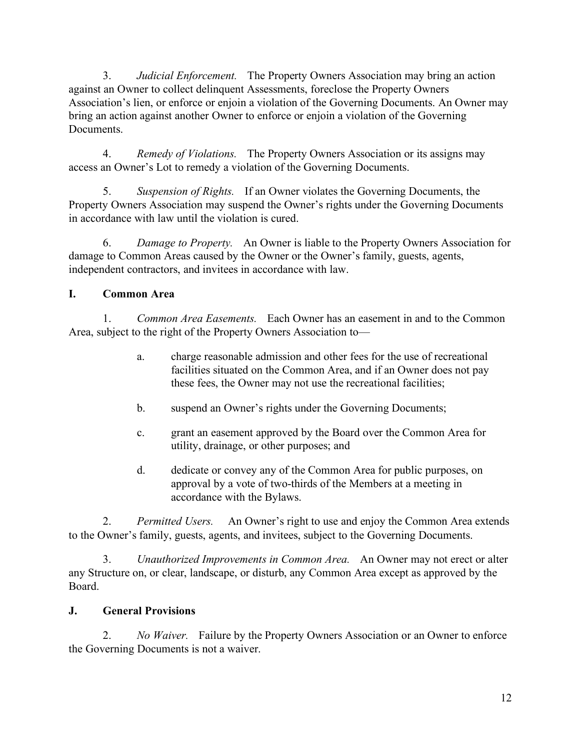3. *Judicial Enforcement.* The Property Owners Association may bring an action against an Owner to collect delinquent Assessments, foreclose the Property Owners Association's lien, or enforce or enjoin a violation of the Governing Documents. An Owner may bring an action against another Owner to enforce or enjoin a violation of the Governing Documents.

4. *Remedy of Violations.* The Property Owners Association or its assigns may access an Owner's Lot to remedy a violation of the Governing Documents.

5. *Suspension of Rights.* If an Owner violates the Governing Documents, the Property Owners Association may suspend the Owner's rights under the Governing Documents in accordance with law until the violation is cured.

6. *Damage to Property.* An Owner is liable to the Property Owners Association for damage to Common Areas caused by the Owner or the Owner's family, guests, agents, independent contractors, and invitees in accordance with law.

# **I. Common Area**

1. *Common Area Easements.* Each Owner has an easement in and to the Common Area, subject to the right of the Property Owners Association to—

- a. charge reasonable admission and other fees for the use of recreational facilities situated on the Common Area, and if an Owner does not pay these fees, the Owner may not use the recreational facilities;
- b. suspend an Owner's rights under the Governing Documents;
- c. grant an easement approved by the Board over the Common Area for utility, drainage, or other purposes; and
- d. dedicate or convey any of the Common Area for public purposes, on approval by a vote of two-thirds of the Members at a meeting in accordance with the Bylaws.

2. *Permitted Users.* An Owner's right to use and enjoy the Common Area extends to the Owner's family, guests, agents, and invitees, subject to the Governing Documents.

3. *Unauthorized Improvements in Common Area.* An Owner may not erect or alter any Structure on, or clear, landscape, or disturb, any Common Area except as approved by the Board.

#### **J. General Provisions**

2. *No Waiver.* Failure by the Property Owners Association or an Owner to enforce the Governing Documents is not a waiver.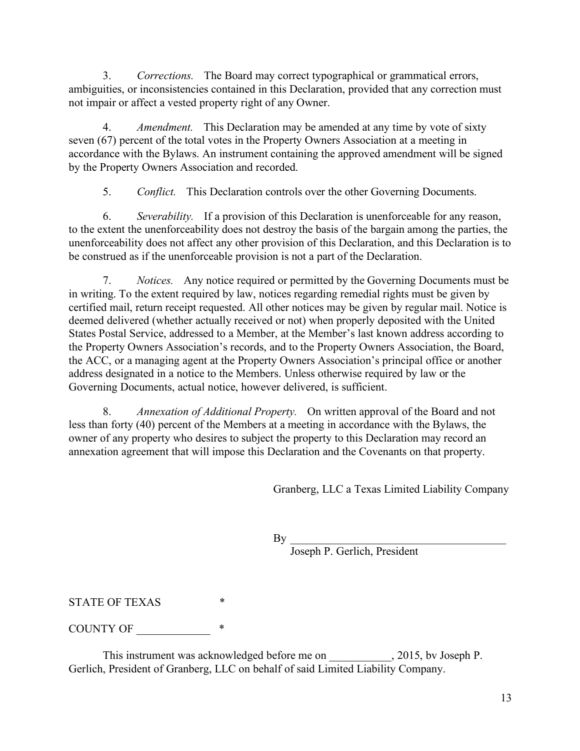3. *Corrections.* The Board may correct typographical or grammatical errors, ambiguities, or inconsistencies contained in this Declaration, provided that any correction must not impair or affect a vested property right of any Owner.

4. *Amendment.* This Declaration may be amended at any time by vote of sixty seven (67) percent of the total votes in the Property Owners Association at a meeting in accordance with the Bylaws. An instrument containing the approved amendment will be signed by the Property Owners Association and recorded.

5. *Conflict.* This Declaration controls over the other Governing Documents.

6. *Severability.* If a provision of this Declaration is unenforceable for any reason, to the extent the unenforceability does not destroy the basis of the bargain among the parties, the unenforceability does not affect any other provision of this Declaration, and this Declaration is to be construed as if the unenforceable provision is not a part of the Declaration.

7. *Notices.* Any notice required or permitted by the Governing Documents must be in writing. To the extent required by law, notices regarding remedial rights must be given by certified mail, return receipt requested. All other notices may be given by regular mail. Notice is deemed delivered (whether actually received or not) when properly deposited with the United States Postal Service, addressed to a Member, at the Member's last known address according to the Property Owners Association's records, and to the Property Owners Association, the Board, the ACC, or a managing agent at the Property Owners Association's principal office or another address designated in a notice to the Members. Unless otherwise required by law or the Governing Documents, actual notice, however delivered, is sufficient.

8. *Annexation of Additional Property.* On written approval of the Board and not less than forty (40) percent of the Members at a meeting in accordance with the Bylaws, the owner of any property who desires to subject the property to this Declaration may record an annexation agreement that will impose this Declaration and the Covenants on that property.

Granberg, LLC a Texas Limited Liability Company

 $\mathbf{By}$ 

Joseph P. Gerlich, President

STATE OF TEXAS

COUNTY OF \_\_\_\_\_\_\_\_\_\_\_\_\_ \*

This instrument was acknowledged before me on \_\_\_\_\_\_\_\_\_\_, 2015, bv Joseph P. Gerlich, President of Granberg, LLC on behalf of said Limited Liability Company.